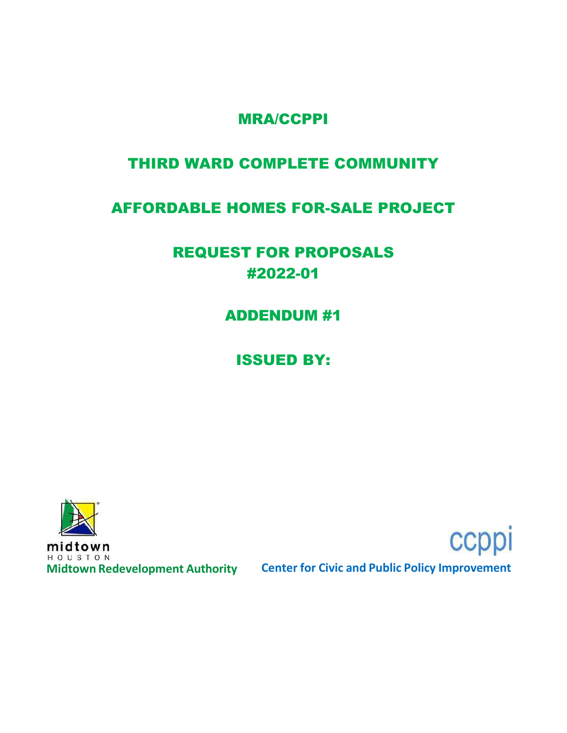## MRA/CCPPI

# THIRD WARD COMPLETE COMMUNITY

## AFFORDABLE HOMES FOR-SALE PROJECT

# REQUEST FOR PROPOSALS #2022-01

ADDENDUM #1

ISSUED BY:



midtown HOUSTON

**Midtown Redevelopment Authority Center for Civic and Public Policy Improvement**

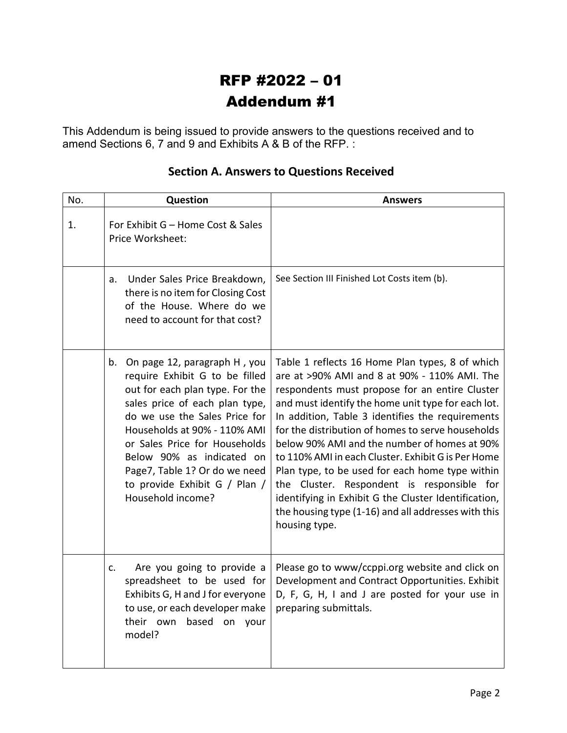# RFP #2022 – 01 Addendum #1

This Addendum is being issued to provide answers to the questions received and to amend Sections 6, 7 and 9 and Exhibits A & B of the RFP. :

| No. | Question                                                                                                                                                                                                                                                                                                                                                        | <b>Answers</b>                                                                                                                                                                                                                                                                                                                                                                                                                                                                                                                                                                                                                                          |
|-----|-----------------------------------------------------------------------------------------------------------------------------------------------------------------------------------------------------------------------------------------------------------------------------------------------------------------------------------------------------------------|---------------------------------------------------------------------------------------------------------------------------------------------------------------------------------------------------------------------------------------------------------------------------------------------------------------------------------------------------------------------------------------------------------------------------------------------------------------------------------------------------------------------------------------------------------------------------------------------------------------------------------------------------------|
| 1.  | For Exhibit G - Home Cost & Sales<br>Price Worksheet:                                                                                                                                                                                                                                                                                                           |                                                                                                                                                                                                                                                                                                                                                                                                                                                                                                                                                                                                                                                         |
|     | Under Sales Price Breakdown,<br>a.<br>there is no item for Closing Cost<br>of the House. Where do we<br>need to account for that cost?                                                                                                                                                                                                                          | See Section III Finished Lot Costs item (b).                                                                                                                                                                                                                                                                                                                                                                                                                                                                                                                                                                                                            |
|     | On page 12, paragraph H, you<br>b.<br>require Exhibit G to be filled<br>out for each plan type. For the<br>sales price of each plan type,<br>do we use the Sales Price for<br>Households at 90% - 110% AMI<br>or Sales Price for Households<br>Below 90% as indicated on<br>Page7, Table 1? Or do we need<br>to provide Exhibit G / Plan /<br>Household income? | Table 1 reflects 16 Home Plan types, 8 of which<br>are at >90% AMI and 8 at 90% - 110% AMI. The<br>respondents must propose for an entire Cluster<br>and must identify the home unit type for each lot.<br>In addition, Table 3 identifies the requirements<br>for the distribution of homes to serve households<br>below 90% AMI and the number of homes at 90%<br>to 110% AMI in each Cluster. Exhibit G is Per Home<br>Plan type, to be used for each home type within<br>the Cluster. Respondent is responsible for<br>identifying in Exhibit G the Cluster Identification,<br>the housing type (1-16) and all addresses with this<br>housing type. |
|     | Are you going to provide a<br>$C_{\star}$<br>spreadsheet to be used for<br>Exhibits G, H and J for everyone<br>to use, or each developer make<br>their own based on your<br>model?                                                                                                                                                                              | Please go to www/ccppi.org website and click on<br>Development and Contract Opportunities. Exhibit<br>D, F, G, H, I and J are posted for your use in<br>preparing submittals.                                                                                                                                                                                                                                                                                                                                                                                                                                                                           |

### **Section A. Answers to Questions Received**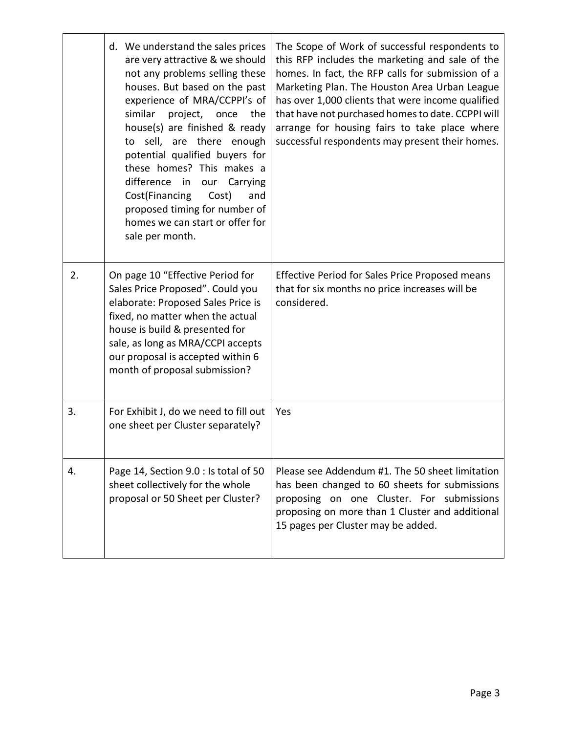|    | d. We understand the sales prices<br>are very attractive & we should<br>not any problems selling these<br>houses. But based on the past<br>experience of MRA/CCPPI's of<br>similar<br>project, once the<br>house(s) are finished & ready<br>to sell, are there enough<br>potential qualified buyers for<br>these homes? This makes a<br>difference in our<br>Carrying<br>Cost(Financing<br>Cost)<br>and<br>proposed timing for number of<br>homes we can start or offer for<br>sale per month. | The Scope of Work of successful respondents to<br>this RFP includes the marketing and sale of the<br>homes. In fact, the RFP calls for submission of a<br>Marketing Plan. The Houston Area Urban League<br>has over 1,000 clients that were income qualified<br>that have not purchased homes to date. CCPPI will<br>arrange for housing fairs to take place where<br>successful respondents may present their homes. |
|----|------------------------------------------------------------------------------------------------------------------------------------------------------------------------------------------------------------------------------------------------------------------------------------------------------------------------------------------------------------------------------------------------------------------------------------------------------------------------------------------------|-----------------------------------------------------------------------------------------------------------------------------------------------------------------------------------------------------------------------------------------------------------------------------------------------------------------------------------------------------------------------------------------------------------------------|
| 2. | On page 10 "Effective Period for<br>Sales Price Proposed". Could you<br>elaborate: Proposed Sales Price is<br>fixed, no matter when the actual<br>house is build & presented for<br>sale, as long as MRA/CCPI accepts<br>our proposal is accepted within 6<br>month of proposal submission?                                                                                                                                                                                                    | Effective Period for Sales Price Proposed means<br>that for six months no price increases will be<br>considered.                                                                                                                                                                                                                                                                                                      |
| 3. | For Exhibit J, do we need to fill out<br>one sheet per Cluster separately?                                                                                                                                                                                                                                                                                                                                                                                                                     | Yes                                                                                                                                                                                                                                                                                                                                                                                                                   |
| 4. | Page 14, Section 9.0 : Is total of 50<br>sheet collectively for the whole<br>proposal or 50 Sheet per Cluster?                                                                                                                                                                                                                                                                                                                                                                                 | Please see Addendum #1. The 50 sheet limitation<br>has been changed to 60 sheets for submissions<br>proposing on one Cluster. For submissions<br>proposing on more than 1 Cluster and additional<br>15 pages per Cluster may be added.                                                                                                                                                                                |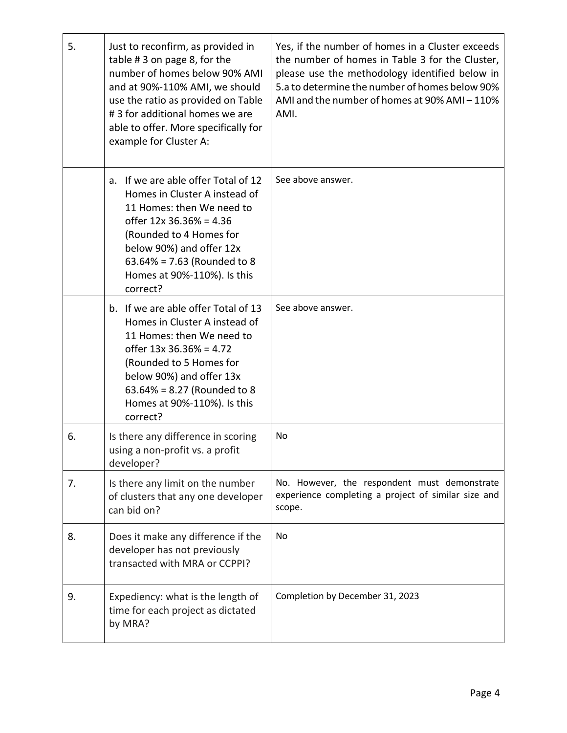| 5. | Just to reconfirm, as provided in<br>table #3 on page 8, for the<br>number of homes below 90% AMI<br>and at 90%-110% AMI, we should<br>use the ratio as provided on Table<br>#3 for additional homes we are<br>able to offer. More specifically for<br>example for Cluster A: | Yes, if the number of homes in a Cluster exceeds<br>the number of homes in Table 3 for the Cluster,<br>please use the methodology identified below in<br>5.a to determine the number of homes below 90%<br>AMI and the number of homes at 90% AMI - 110%<br>AMI. |
|----|-------------------------------------------------------------------------------------------------------------------------------------------------------------------------------------------------------------------------------------------------------------------------------|------------------------------------------------------------------------------------------------------------------------------------------------------------------------------------------------------------------------------------------------------------------|
|    | a. If we are able offer Total of 12<br>Homes in Cluster A instead of<br>11 Homes: then We need to<br>offer 12x 36.36% = 4.36<br>(Rounded to 4 Homes for<br>below 90%) and offer 12x<br>$63.64\% = 7.63$ (Rounded to 8<br>Homes at 90%-110%). Is this<br>correct?              | See above answer.                                                                                                                                                                                                                                                |
|    | b. If we are able offer Total of 13<br>Homes in Cluster A instead of<br>11 Homes: then We need to<br>offer $13x 36.36% = 4.72$<br>(Rounded to 5 Homes for<br>below 90%) and offer 13x<br>63.64% = 8.27 (Rounded to 8<br>Homes at 90%-110%). Is this<br>correct?               | See above answer.                                                                                                                                                                                                                                                |
| 6. | Is there any difference in scoring<br>using a non-profit vs. a profit<br>developer?                                                                                                                                                                                           | No                                                                                                                                                                                                                                                               |
| 7. | Is there any limit on the number<br>of clusters that any one developer<br>can bid on?                                                                                                                                                                                         | No. However, the respondent must demonstrate<br>experience completing a project of similar size and<br>scope.                                                                                                                                                    |
| 8. | Does it make any difference if the<br>developer has not previously<br>transacted with MRA or CCPPI?                                                                                                                                                                           | No                                                                                                                                                                                                                                                               |
| 9. | Expediency: what is the length of<br>time for each project as dictated<br>by MRA?                                                                                                                                                                                             | Completion by December 31, 2023                                                                                                                                                                                                                                  |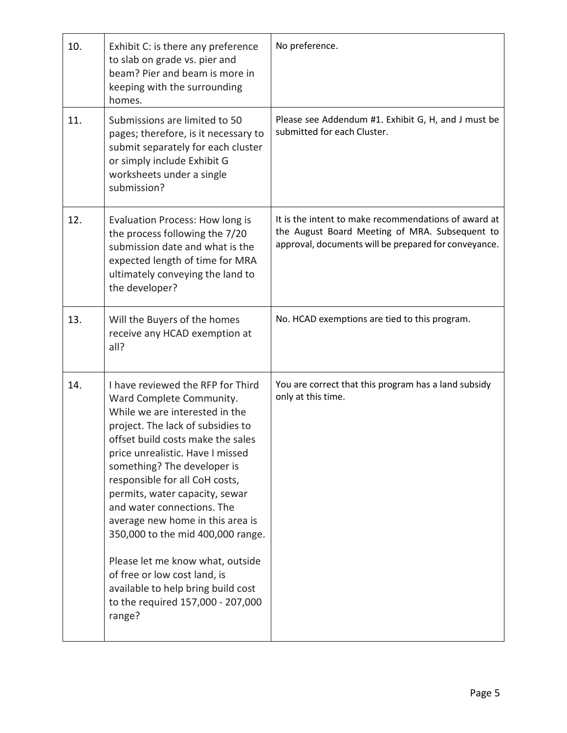| 10. | Exhibit C: is there any preference<br>to slab on grade vs. pier and<br>beam? Pier and beam is more in<br>keeping with the surrounding<br>homes.                                                                                                                                                                                                                                                                                                                                                                                                                                  | No preference.                                                                                                                                                 |
|-----|----------------------------------------------------------------------------------------------------------------------------------------------------------------------------------------------------------------------------------------------------------------------------------------------------------------------------------------------------------------------------------------------------------------------------------------------------------------------------------------------------------------------------------------------------------------------------------|----------------------------------------------------------------------------------------------------------------------------------------------------------------|
| 11. | Submissions are limited to 50<br>pages; therefore, is it necessary to<br>submit separately for each cluster<br>or simply include Exhibit G<br>worksheets under a single<br>submission?                                                                                                                                                                                                                                                                                                                                                                                           | Please see Addendum #1. Exhibit G, H, and J must be<br>submitted for each Cluster.                                                                             |
| 12. | Evaluation Process: How long is<br>the process following the 7/20<br>submission date and what is the<br>expected length of time for MRA<br>ultimately conveying the land to<br>the developer?                                                                                                                                                                                                                                                                                                                                                                                    | It is the intent to make recommendations of award at<br>the August Board Meeting of MRA. Subsequent to<br>approval, documents will be prepared for conveyance. |
| 13. | Will the Buyers of the homes<br>receive any HCAD exemption at<br>all?                                                                                                                                                                                                                                                                                                                                                                                                                                                                                                            | No. HCAD exemptions are tied to this program.                                                                                                                  |
| 14. | I have reviewed the RFP for Third<br>Ward Complete Community.<br>While we are interested in the<br>project. The lack of subsidies to<br>offset build costs make the sales<br>price unrealistic. Have I missed<br>something? The developer is<br>responsible for all CoH costs,<br>permits, water capacity, sewar<br>and water connections. The<br>average new home in this area is<br>350,000 to the mid 400,000 range.<br>Please let me know what, outside<br>of free or low cost land, is<br>available to help bring build cost<br>to the required 157,000 - 207,000<br>range? | You are correct that this program has a land subsidy<br>only at this time.                                                                                     |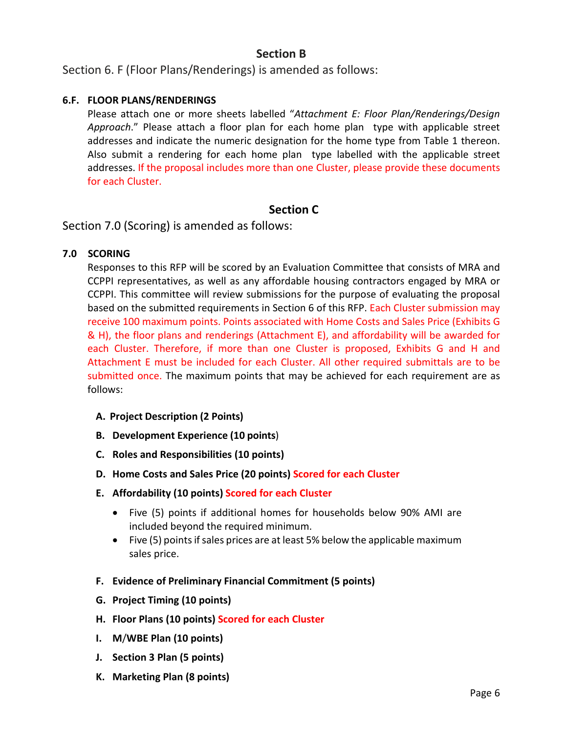### **Section B**

Section 6. F (Floor Plans/Renderings) is amended as follows:

#### **6.F. FLOOR PLANS/RENDERINGS**

Please attach one or more sheets labelled "*Attachment E: Floor Plan/Renderings/Design Approach*." Please attach a floor plan for each home plan type with applicable street addresses and indicate the numeric designation for the home type from Table 1 thereon. Also submit a rendering for each home plan type labelled with the applicable street addresses. If the proposal includes more than one Cluster, please provide these documents for each Cluster.

#### **Section C**

Section 7.0 (Scoring) is amended as follows:

#### **7.0 SCORING**

Responses to this RFP will be scored by an Evaluation Committee that consists of MRA and CCPPI representatives, as well as any affordable housing contractors engaged by MRA or CCPPI. This committee will review submissions for the purpose of evaluating the proposal based on the submitted requirements in Section 6 of this RFP. Each Cluster submission may receive 100 maximum points. Points associated with Home Costs and Sales Price (Exhibits G & H), the floor plans and renderings (Attachment E), and affordability will be awarded for each Cluster. Therefore, if more than one Cluster is proposed, Exhibits G and H and Attachment E must be included for each Cluster. All other required submittals are to be submitted once. The maximum points that may be achieved for each requirement are as follows:

- **A. Project Description (2 Points)**
- **B. Development Experience (10 points**)
- **C. Roles and Responsibilities (10 points)**
- **D. Home Costs and Sales Price (20 points) Scored for each Cluster**
- **E. Affordability (10 points) Scored for each Cluster**
	- Five (5) points if additional homes for households below 90% AMI are included beyond the required minimum.
	- Five (5) points if sales prices are at least 5% below the applicable maximum sales price.
- **F. Evidence of Preliminary Financial Commitment (5 points)**
- **G. Project Timing (10 points)**
- **H. Floor Plans (10 points) Scored for each Cluster**
- **I. M**/**WBE Plan (10 points)**
- **J. Section 3 Plan (5 points)**
- **K. Marketing Plan (8 points)**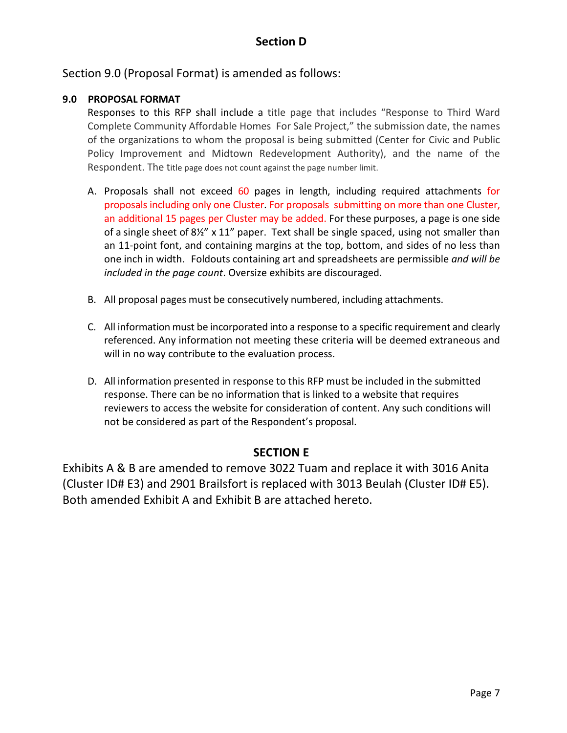## **Section D**

Section 9.0 (Proposal Format) is amended as follows:

#### **9.0 PROPOSAL FORMAT**

Responses to this RFP shall include a title page that includes "Response to Third Ward Complete Community Affordable Homes For Sale Project," the submission date, the names of the organizations to whom the proposal is being submitted (Center for Civic and Public Policy Improvement and Midtown Redevelopment Authority), and the name of the Respondent. The title page does not count against the page number limit.

- A. Proposals shall not exceed 60 pages in length, including required attachments for proposals including only one Cluster. For proposals submitting on more than one Cluster, an additional 15 pages per Cluster may be added. For these purposes, a page is one side of a single sheet of 8½" x 11" paper. Text shall be single spaced, using not smaller than an 11-point font, and containing margins at the top, bottom, and sides of no less than one inch in width. Foldouts containing art and spreadsheets are permissible *and will be included in the page count*. Oversize exhibits are discouraged.
- B. All proposal pages must be consecutively numbered, including attachments.
- C. All information must be incorporated into a response to a specific requirement and clearly referenced. Any information not meeting these criteria will be deemed extraneous and will in no way contribute to the evaluation process.
- D. All information presented in response to this RFP must be included in the submitted response. There can be no information that is linked to a website that requires reviewers to access the website for consideration of content. Any such conditions will not be considered as part of the Respondent's proposal.

#### **SECTION E**

Exhibits A & B are amended to remove 3022 Tuam and replace it with 3016 Anita (Cluster ID# E3) and 2901 Brailsfort is replaced with 3013 Beulah (Cluster ID# E5). Both amended Exhibit A and Exhibit B are attached hereto.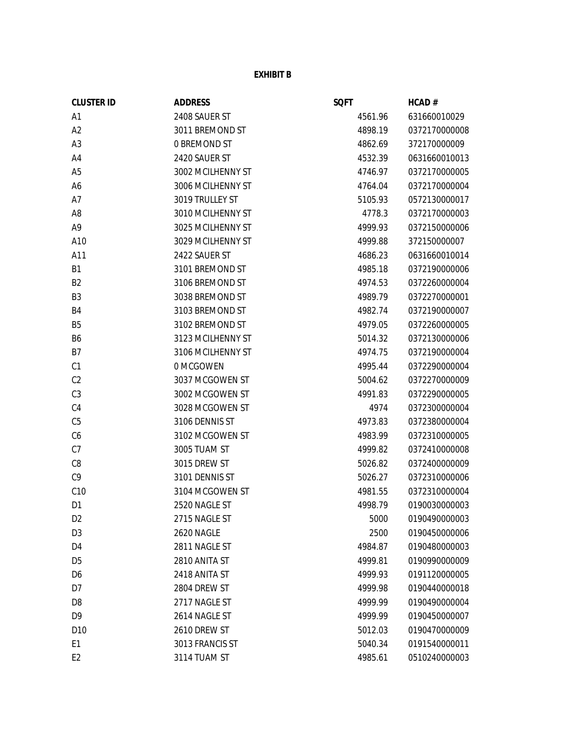#### **EXHIBIT B**

| <b>CLUSTER ID</b> | <b>ADDRESS</b>      | <b>SQFT</b> | HCAD#         |
|-------------------|---------------------|-------------|---------------|
| A <sub>1</sub>    | 2408 SAUER ST       | 4561.96     | 631660010029  |
| A2                | 3011 BREMOND ST     | 4898.19     | 0372170000008 |
| A <sub>3</sub>    | <b>0 BREMOND ST</b> | 4862.69     | 372170000009  |
| A4                | 2420 SAUER ST       | 4532.39     | 0631660010013 |
| A <sub>5</sub>    | 3002 MCILHENNY ST   | 4746.97     | 0372170000005 |
| A6                | 3006 MCILHENNY ST   | 4764.04     | 0372170000004 |
| A7                | 3019 TRULLEY ST     | 5105.93     | 0572130000017 |
| A <sub>8</sub>    | 3010 MCILHENNY ST   | 4778.3      | 0372170000003 |
| A <sub>9</sub>    | 3025 MCILHENNY ST   | 4999.93     | 0372150000006 |
| A10               | 3029 MCILHENNY ST   | 4999.88     | 372150000007  |
| A11               | 2422 SAUER ST       | 4686.23     | 0631660010014 |
| <b>B1</b>         | 3101 BREMOND ST     | 4985.18     | 0372190000006 |
| B <sub>2</sub>    | 3106 BREMOND ST     | 4974.53     | 0372260000004 |
| B <sub>3</sub>    | 3038 BREMOND ST     | 4989.79     | 0372270000001 |
| B4                | 3103 BREMOND ST     | 4982.74     | 0372190000007 |
| B <sub>5</sub>    | 3102 BREMOND ST     | 4979.05     | 0372260000005 |
| B6                | 3123 MCILHENNY ST   | 5014.32     | 0372130000006 |
| B7                | 3106 MCILHENNY ST   | 4974.75     | 0372190000004 |
| C1                | 0 MCGOWEN           | 4995.44     | 0372290000004 |
| C <sub>2</sub>    | 3037 MCGOWEN ST     | 5004.62     | 0372270000009 |
| C <sub>3</sub>    | 3002 MCGOWEN ST     | 4991.83     | 0372290000005 |
| C <sub>4</sub>    | 3028 MCGOWEN ST     | 4974        | 0372300000004 |
| C <sub>5</sub>    | 3106 DENNIS ST      | 4973.83     | 0372380000004 |
| C6                | 3102 MCGOWEN ST     | 4983.99     | 0372310000005 |
| C7                | 3005 TUAM ST        | 4999.82     | 0372410000008 |
| C8                | 3015 DREW ST        | 5026.82     | 0372400000009 |
| C <sub>9</sub>    | 3101 DENNIS ST      | 5026.27     | 0372310000006 |
| C10               | 3104 MCGOWEN ST     | 4981.55     | 0372310000004 |
| D <sub>1</sub>    | 2520 NAGLE ST       | 4998.79     | 0190030000003 |
| D <sub>2</sub>    | 2715 NAGLE ST       | 5000        | 0190490000003 |
| D <sub>3</sub>    | 2620 NAGLE          | 2500        | 0190450000006 |
| D <sub>4</sub>    | 2811 NAGLE ST       | 4984.87     | 0190480000003 |
| D <sub>5</sub>    | 2810 ANITA ST       | 4999.81     | 0190990000009 |
| D <sub>6</sub>    | 2418 ANITA ST       | 4999.93     | 0191120000005 |
| D7                | 2804 DREW ST        | 4999.98     | 0190440000018 |
| D <sub>8</sub>    | 2717 NAGLE ST       | 4999.99     | 0190490000004 |
| D <sub>9</sub>    | 2614 NAGLE ST       | 4999.99     | 0190450000007 |
| D <sub>10</sub>   | 2610 DREW ST        | 5012.03     | 0190470000009 |
| E <sub>1</sub>    | 3013 FRANCIS ST     | 5040.34     | 0191540000011 |
| E <sub>2</sub>    | 3114 TUAM ST        | 4985.61     | 0510240000003 |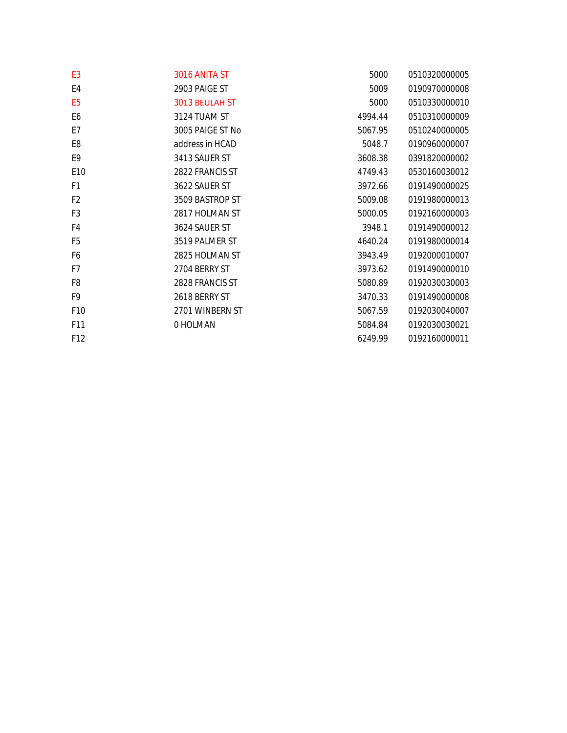| E <sub>3</sub>  | 3016 ANITA ST    | 5000    | 0510320000005 |
|-----------------|------------------|---------|---------------|
| E4              | 2903 PAIGE ST    | 5009    | 0190970000008 |
| E <sub>5</sub>  | 3013 BEULAH ST   | 5000    | 0510330000010 |
| E <sub>6</sub>  | 3124 TUAM ST     | 4994.44 | 0510310000009 |
| E7              | 3005 PAIGE ST No | 5067.95 | 0510240000005 |
| E <sub>8</sub>  | address in HCAD  | 5048.7  | 0190960000007 |
| E9              | 3413 SAUER ST    | 3608.38 | 0391820000002 |
| E <sub>10</sub> | 2822 FRANCIS ST  | 4749.43 | 0530160030012 |
| F1              | 3622 SAUER ST    | 3972.66 | 0191490000025 |
| F <sub>2</sub>  | 3509 BASTROP ST  | 5009.08 | 0191980000013 |
| F <sub>3</sub>  | 2817 HOLMAN ST   | 5000.05 | 0192160000003 |
| F4              | 3624 SAUER ST    | 3948.1  | 0191490000012 |
| F <sub>5</sub>  | 3519 PALMER ST   | 4640.24 | 0191980000014 |
| F6              | 2825 HOLMAN ST   | 3943.49 | 0192000010007 |
| F7              | 2704 BERRY ST    | 3973.62 | 0191490000010 |
| F8              | 2828 FRANCIS ST  | 5080.89 | 0192030030003 |
| F9              | 2618 BERRY ST    | 3470.33 | 0191490000008 |
| F10             | 2701 WINBERN ST  | 5067.59 | 0192030040007 |
| F11             | 0 HOLMAN         | 5084.84 | 0192030030021 |
| F <sub>12</sub> |                  | 6249.99 | 0192160000011 |